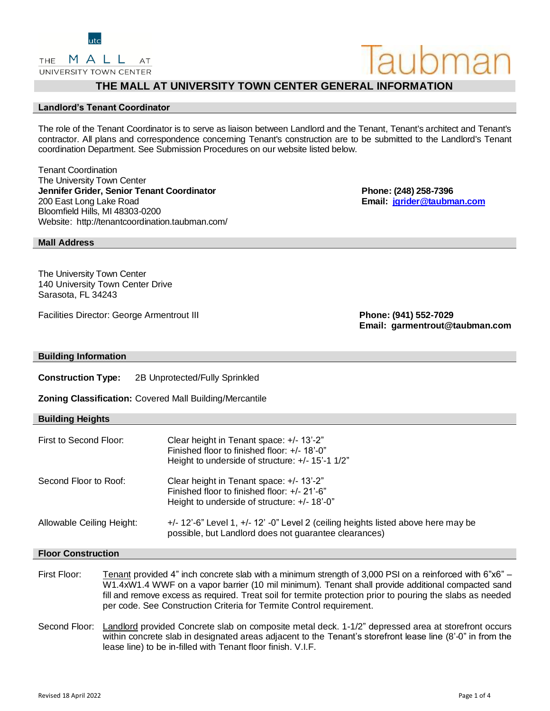# **THE MALL AT UNIVERSITY TOWN CENTER GENERAL INFORMATION**

# **Landlord's Tenant Coordinator**

The role of the Tenant Coordinator is to serve as liaison between Landlord and the Tenant, Tenant's architect and Tenant's contractor. All plans and correspondence concerning Tenant's construction are to be submitted to the Landlord's Tenant coordination Department. See Submission Procedures on our website listed below.

Tenant Coordination The University Town Center **Jennifer Grider, Senior Tenant Coordinator Phone: (248) 258-7396** 200 East Long Lake Road **Email: [jgrider@taubman.com](mailto:jgrider@taubman.com)** Bloomfield Hills, MI 48303-0200 Website: http://tenantcoordination.taubman.com/

# **Mall Address**

The University Town Center 140 University Town Center Drive Sarasota, FL 34243

Facilities Director: George Armentrout III **Phone: (941) 552-7029**

**Email: garmentrout@taubman.com**

# **Building Information**

**Construction Type:** 2B Unprotected/Fully Sprinkled

**Zoning Classification:** Covered Mall Building/Mercantile

| <b>Building Heights</b>   |                                                                                                                                              |
|---------------------------|----------------------------------------------------------------------------------------------------------------------------------------------|
| First to Second Floor:    | Clear height in Tenant space: +/- 13'-2"<br>Finished floor to finished floor: +/- 18'-0"<br>Height to underside of structure: +/- 15'-1 1/2" |
| Second Floor to Roof:     | Clear height in Tenant space: +/- 13'-2"<br>Finished floor to finished floor: +/- 21'-6"<br>Height to underside of structure: $+/- 18,-0$ "  |
| Allowable Ceiling Height: | +/- 12'-6" Level 1, +/- 12' -0" Level 2 (ceiling heights listed above here may be<br>possible, but Landlord does not guarantee clearances)   |

# **Floor Construction**

- First Floor: Tenant provided 4" inch concrete slab with a minimum strength of 3,000 PSI on a reinforced with 6"x6" W1.4xW1.4 WWF on a vapor barrier (10 mil minimum). Tenant shall provide additional compacted sand fill and remove excess as required. Treat soil for termite protection prior to pouring the slabs as needed per code. See Construction Criteria for Termite Control requirement.
- Second Floor: Landlord provided Concrete slab on composite metal deck. 1-1/2" depressed area at storefront occurs within concrete slab in designated areas adjacent to the Tenant's storefront lease line (8'-0" in from the lease line) to be in-filled with Tenant floor finish. V.I.F.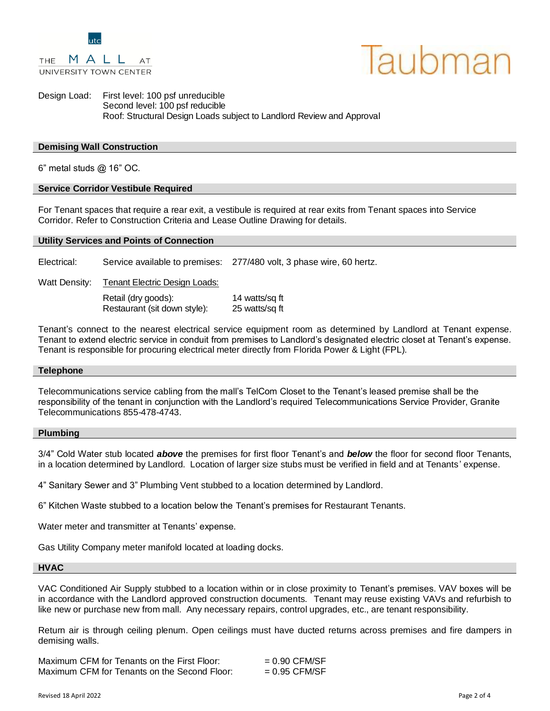

UNIVERSITY TOWN CENTER

AT



Design Load: First level: 100 psf unreducible Second level: 100 psf reducible Roof: Structural Design Loads subject to Landlord Review and Approval

# **Demising Wall Construction**

6" metal studs @ 16" OC.

# **Service Corridor Vestibule Required**

For Tenant spaces that require a rear exit, a vestibule is required at rear exits from Tenant spaces into Service Corridor. Refer to Construction Criteria and Lease Outline Drawing for details.

#### **Utility Services and Points of Connection**

Electrical: Service available to premises: 277/480 volt, 3 phase wire, 60 hertz.

Watt Density: Tenant Electric Design Loads:

Retail (dry goods): 14 watts/sq ft Restaurant (sit down style): 25 watts/sq ft

Tenant's connect to the nearest electrical service equipment room as determined by Landlord at Tenant expense. Tenant to extend electric service in conduit from premises to Landlord's designated electric closet at Tenant's expense. Tenant is responsible for procuring electrical meter directly from Florida Power & Light (FPL).

#### **Telephone**

Telecommunications service cabling from the mall's TelCom Closet to the Tenant's leased premise shall be the responsibility of the tenant in conjunction with the Landlord's required Telecommunications Service Provider, Granite Telecommunications 855-478-4743.

#### **Plumbing**

3/4" Cold Water stub located *above* the premises for first floor Tenant's and *below* the floor for second floor Tenants, in a location determined by Landlord. Location of larger size stubs must be verified in field and at Tenants' expense.

4" Sanitary Sewer and 3" Plumbing Vent stubbed to a location determined by Landlord.

6" Kitchen Waste stubbed to a location below the Tenant's premises for Restaurant Tenants.

Water meter and transmitter at Tenants' expense.

Gas Utility Company meter manifold located at loading docks.

#### **HVAC**

VAC Conditioned Air Supply stubbed to a location within or in close proximity to Tenant's premises. VAV boxes will be in accordance with the Landlord approved construction documents. Tenant may reuse existing VAVs and refurbish to like new or purchase new from mall. Any necessary repairs, control upgrades, etc., are tenant responsibility.

Return air is through ceiling plenum. Open ceilings must have ducted returns across premises and fire dampers in demising walls.

| Maximum CFM for Tenants on the First Floor:  | $= 0.90$ CFM/SF |
|----------------------------------------------|-----------------|
| Maximum CFM for Tenants on the Second Floor: | $= 0.95$ CFM/SF |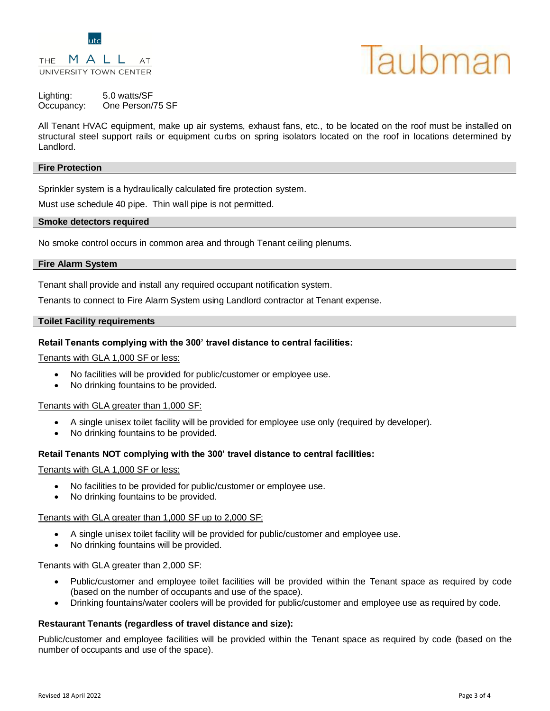

#### MALL THE AT UNIVERSITY TOWN CENTER

# laubman

# Lighting: 5.0 watts/SF Occupancy: One Person/75 SF

All Tenant HVAC equipment, make up air systems, exhaust fans, etc., to be located on the roof must be installed on structural steel support rails or equipment curbs on spring isolators located on the roof in locations determined by Landlord.

# **Fire Protection**

Sprinkler system is a hydraulically calculated fire protection system.

Must use schedule 40 pipe. Thin wall pipe is not permitted.

# **Smoke detectors required**

No smoke control occurs in common area and through Tenant ceiling plenums.

# **Fire Alarm System**

Tenant shall provide and install any required occupant notification system.

Tenants to connect to Fire Alarm System using Landlord contractor at Tenant expense.

# **Toilet Facility requirements**

# **Retail Tenants complying with the 300' travel distance to central facilities:**

Tenants with GLA 1,000 SF or less:

- No facilities will be provided for public/customer or employee use.
- No drinking fountains to be provided.

# Tenants with GLA greater than 1,000 SF:

- A single unisex toilet facility will be provided for employee use only (required by developer).
- No drinking fountains to be provided.

# **Retail Tenants NOT complying with the 300' travel distance to central facilities:**

Tenants with GLA 1,000 SF or less:

- No facilities to be provided for public/customer or employee use.
- No drinking fountains to be provided.

# Tenants with GLA greater than 1,000 SF up to 2,000 SF:

- A single unisex toilet facility will be provided for public/customer and employee use.
- No drinking fountains will be provided.

# Tenants with GLA greater than 2,000 SF:

- Public/customer and employee toilet facilities will be provided within the Tenant space as required by code (based on the number of occupants and use of the space).
- Drinking fountains/water coolers will be provided for public/customer and employee use as required by code.

# **Restaurant Tenants (regardless of travel distance and size):**

Public/customer and employee facilities will be provided within the Tenant space as required by code (based on the number of occupants and use of the space).